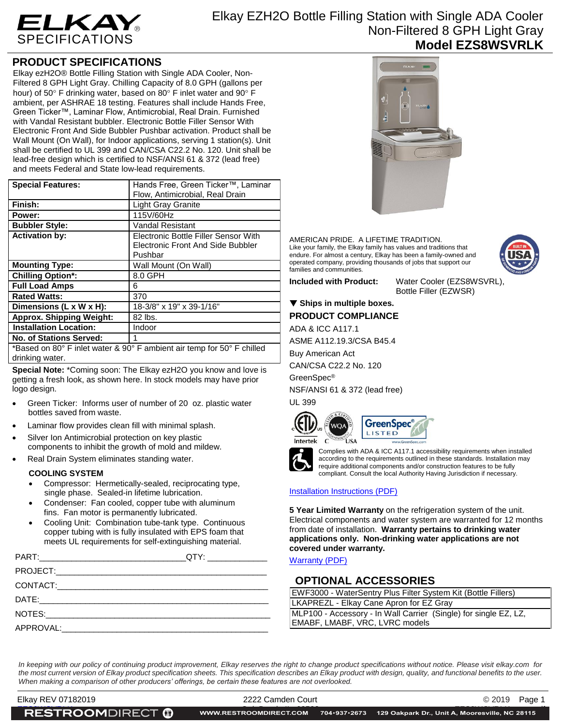

# Elkay EZH2O Bottle Filling Station with Single ADA Cooler Non-Filtered 8 GPH Light Gray **Model EZS8WSVRLK**

## **PRODUCT SPECIFICATIONS**

Elkay ezH2O® Bottle Filling Station with Single ADA Cooler, Non-Filtered 8 GPH Light Gray. Chilling Capacity of 8.0 GPH (gallons per hour) of 50 $\degree$  F drinking water, based on 80 $\degree$  F inlet water and 90 $\degree$  F ambient, per ASHRAE 18 testing. Features shall include Hands Free, Green Ticker™, Laminar Flow, Antimicrobial, Real Drain. Furnished with Vandal Resistant bubbler. Electronic Bottle Filler Sensor With Electronic Front And Side Bubbler Pushbar activation. Product shall be Wall Mount (On Wall), for Indoor applications, serving 1 station(s). Unit shall be certified to UL 399 and CAN/CSA C22.2 No. 120. Unit shall be lead-free design which is certified to NSF/ANSI 61 & 372 (lead free) and meets Federal and State low-lead requirements.

| <b>Special Features:</b>        | Hands Free, Green Ticker™, Laminar                                                                                                                                                                                                                                                                                                                                                                                                                                                      |  |
|---------------------------------|-----------------------------------------------------------------------------------------------------------------------------------------------------------------------------------------------------------------------------------------------------------------------------------------------------------------------------------------------------------------------------------------------------------------------------------------------------------------------------------------|--|
|                                 | Flow, Antimicrobial, Real Drain                                                                                                                                                                                                                                                                                                                                                                                                                                                         |  |
| Finish:                         | <b>Light Gray Granite</b>                                                                                                                                                                                                                                                                                                                                                                                                                                                               |  |
| Power:                          | 115V/60Hz                                                                                                                                                                                                                                                                                                                                                                                                                                                                               |  |
| <b>Bubbler Style:</b>           | <b>Vandal Resistant</b>                                                                                                                                                                                                                                                                                                                                                                                                                                                                 |  |
| <b>Activation by:</b>           | Electronic Bottle Filler Sensor With<br>Electronic Front And Side Bubbler                                                                                                                                                                                                                                                                                                                                                                                                               |  |
|                                 | Pushbar                                                                                                                                                                                                                                                                                                                                                                                                                                                                                 |  |
| <b>Mounting Type:</b>           | Wall Mount (On Wall)                                                                                                                                                                                                                                                                                                                                                                                                                                                                    |  |
| <b>Chilling Option*:</b>        | 8.0 GPH                                                                                                                                                                                                                                                                                                                                                                                                                                                                                 |  |
| <b>Full Load Amps</b>           | 6                                                                                                                                                                                                                                                                                                                                                                                                                                                                                       |  |
| <b>Rated Watts:</b>             | 370                                                                                                                                                                                                                                                                                                                                                                                                                                                                                     |  |
| Dimensions (L x W x H):         | 18-3/8" x 19" x 39-1/16"                                                                                                                                                                                                                                                                                                                                                                                                                                                                |  |
| <b>Approx. Shipping Weight:</b> | 82 lbs.                                                                                                                                                                                                                                                                                                                                                                                                                                                                                 |  |
| <b>Installation Location:</b>   | Indoor                                                                                                                                                                                                                                                                                                                                                                                                                                                                                  |  |
| <b>No. of Stations Served:</b>  |                                                                                                                                                                                                                                                                                                                                                                                                                                                                                         |  |
|                                 | $\ast$ $\blacksquare$ $\blacksquare$ $\blacksquare$ $\blacksquare$ $\blacksquare$ $\blacksquare$ $\blacksquare$ $\blacksquare$ $\blacksquare$ $\blacksquare$ $\blacksquare$ $\blacksquare$ $\blacksquare$ $\blacksquare$ $\blacksquare$ $\blacksquare$ $\blacksquare$ $\blacksquare$ $\blacksquare$ $\blacksquare$ $\blacksquare$ $\blacksquare$ $\blacksquare$ $\blacksquare$ $\blacksquare$ $\blacksquare$ $\blacksquare$ $\blacksquare$ $\blacksquare$ $\blacksquare$ $\blacksquare$ |  |

\*Based on 80° F inlet water & 90° F ambient air temp for 50° F chilled drinking water.

**Special Note:** \*Coming soon: The Elkay ezH2O you know and love is getting a fresh look, as shown here. In stock models may have prior logo design.

- Green Ticker: Informs user of number of 20 oz. plastic water bottles saved from waste.
- Laminar flow provides clean fill with minimal splash.
- Silver Ion Antimicrobial protection on key plastic components to inhibit the growth of mold and mildew.
- Real Drain System eliminates standing water.

### **COOLING SYSTEM**

- Compressor: Hermetically-sealed, reciprocating type, single phase. Sealed-in lifetime lubrication.
- Condenser: Fan cooled, copper tube with aluminum fins. Fan motor is permanently lubricated.
- Cooling Unit: Combination tube-tank type. Continuous copper tubing with is fully insulated with EPS foam that meets UL requirements for self-extinguishing material.



AMERICAN PRIDE. A LIFETIME TRADITION. Like your family, the Elkay family has values and traditions that endure. For almost a century, Elkay has been a family-owned and operated company, providing thousands of jobs that support our families and communities.

**Included with Product:** Water Cooler (EZS8WSVRL), Bottle Filler (EZWSR)

## ▼ Ships in multiple boxes. **PRODUCT COMPLIANCE**

ADA & ICC A117.1

ASME A112.19.3/CSA B45.4

Buy American Act

CAN/CSA C22.2 No. 120

GreenSpec®

NSF/ANSI 61 & 372 (lead free)

UL 399







Complies with ADA & ICC A117.1 accessibility requirements when installed according to the requirements outlined in these standards. Installation may require additional components and/or construction features to be fully compliant. Consult the local Authority Having Jurisdiction if necessary.

### [Installation Instructions \(PDF\)](http://www.elkay.com/wcsstore/lkdocs/care-cleaning-install-warranty-sheets/1000002207.pdf)

**5 Year Limited Warranty** on the refrigeration system of the unit. Electrical components and water system are warranted for 12 months from date of installation. **Warranty pertains to drinking water applications only. Non-drinking water applications are not covered under warranty.**

#### **[Warranty](http://www.elkay.com/wcsstore/lkdocs/care-cleaning-install-warranty-sheets/96993c.pdf) (PDF)**

## **OPTIONAL ACCESSORIES**

| EWF3000 - WaterSentry Plus Filter System Kit (Bottle Fillers)    |  |
|------------------------------------------------------------------|--|
| LKAPREZL - Elkay Cane Apron for EZ Gray                          |  |
| MLP100 - Accessory - In Wall Carrier (Single) for single EZ, LZ, |  |
| EMABF, LMABF, VRC, LVRC models                                   |  |

*In keeping with our policy of continuing product improvement, Elkay reserves the right to change product specifications without notice. Please visit elkay.com for*  the most current version of Elkay product specification sheets. This specification describes an Elkay product with design, quality, and functional benefits to the user. *When making a comparison of other producers' offerings, be certain these features are not overlooked.*

Elkay REV 07182019 2222 Camden Court © 2019Page 1